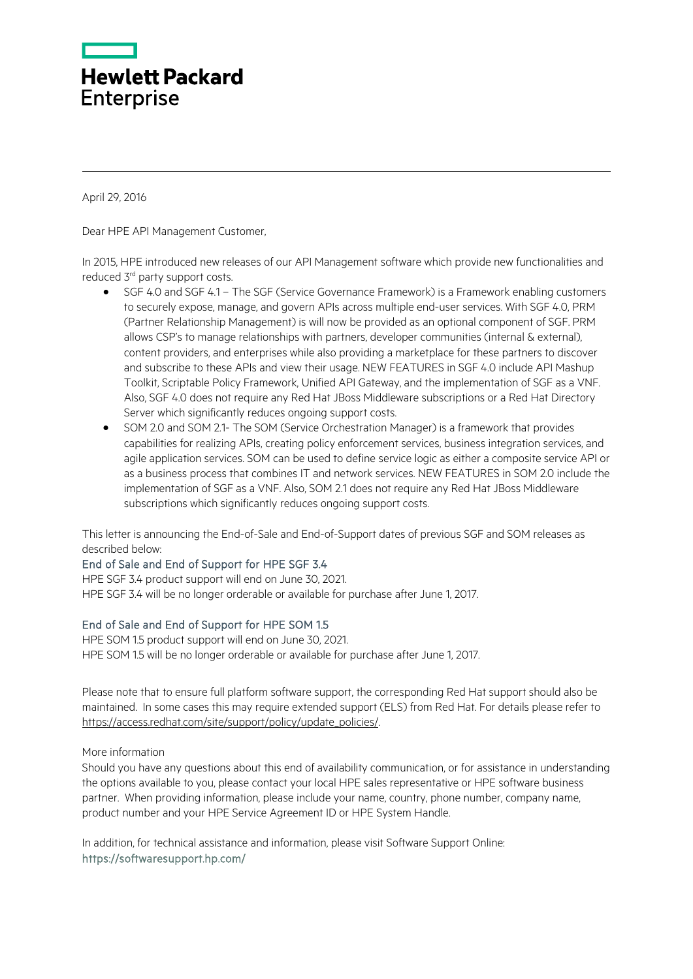

April 29, 2016

Dear HPE API Management Customer,

In 2015, HPE introduced new releases of our API Management software which provide new functionalities and reduced 3<sup>rd</sup> party support costs.

- SGF 4.0 and SGF 4.1 The SGF (Service Governance Framework) is a Framework enabling customers to securely expose, manage, and govern APIs across multiple end-user services. With SGF 4.0, PRM (Partner Relationship Management) is will now be provided as an optional component of SGF. PRM allows CSP's to manage relationships with partners, developer communities (internal & external), content providers, and enterprises while also providing a marketplace for these partners to discover and subscribe to these APIs and view their usage. NEW FEATURES in SGF 4.0 include API Mashup Toolkit, Scriptable Policy Framework, Unified API Gateway, and the implementation of SGF as a VNF. Also, SGF 4.0 does not require any Red Hat JBoss Middleware subscriptions or a Red Hat Directory Server which significantly reduces ongoing support costs.
- SOM 2.0 and SOM 2.1- The SOM (Service Orchestration Manager) is a framework that provides capabilities for realizing APIs, creating policy enforcement services, business integration services, and agile application services. SOM can be used to define service logic as either a composite service API or as a business process that combines IT and network services. NEW FEATURES in SOM 2.0 include the implementation of SGF as a VNF. Also, SOM 2.1 does not require any Red Hat JBoss Middleware subscriptions which significantly reduces ongoing support costs.

This letter is announcing the End-of-Sale and End-of-Support dates of previous SGF and SOM releases as described below:

## End of Sale and End of Support for HPE SGF 3.4

HPE SGF 3.4 product support will end on June 30, 2021. HPE SGF 3.4 will be no longer orderable or available for purchase after June 1, 2017.

## End of Sale and End of Support for HPE SOM 1.5

HPE SOM 1.5 product support will end on June 30, 2021. HPE SOM 1.5 will be no longer orderable or available for purchase after June 1, 2017.

Please note that to ensure full platform software support, the corresponding Red Hat support should also be maintained. In some cases this may require extended support (ELS) from Red Hat. For details please refer to [https://access.redhat.com/site/support/policy/update\\_policies/.](https://access.redhat.com/site/support/policy/update_policies/) 

More information

Should you have any questions about this end of availability communication, or for assistance in understanding the options available to you, please contact your local HPE sales representative or HPE software business partner. When providing information, please include your name, country, phone number, company name, product number and your HPE Service Agreement ID or HPE System Handle.

In addition, for technical assistance and information, please visit Software Support Online: <https://softwaresupport.hp.com/>